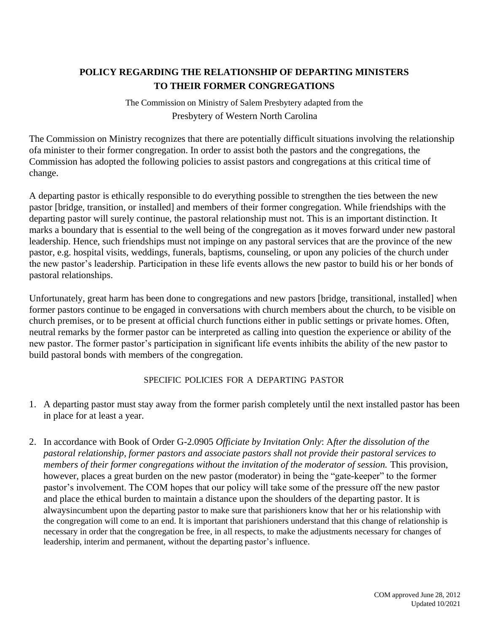## **POLICY REGARDING THE RELATIONSHIP OF DEPARTING MINISTERS TO THEIR FORMER CONGREGATIONS**

The Commission on Ministry of Salem Presbytery adapted from the Presbytery of Western North Carolina

The Commission on Ministry recognizes that there are potentially difficult situations involving the relationship ofa minister to their former congregation. In order to assist both the pastors and the congregations, the Commission has adopted the following policies to assist pastors and congregations at this critical time of change.

A departing pastor is ethically responsible to do everything possible to strengthen the ties between the new pastor [bridge, transition, or installed] and members of their former congregation. While friendships with the departing pastor will surely continue, the pastoral relationship must not. This is an important distinction. It marks a boundary that is essential to the well being of the congregation as it moves forward under new pastoral leadership. Hence, such friendships must not impinge on any pastoral services that are the province of the new pastor, e.g. hospital visits, weddings, funerals, baptisms, counseling, or upon any policies of the church under the new pastor's leadership. Participation in these life events allows the new pastor to build his or her bonds of pastoral relationships.

Unfortunately, great harm has been done to congregations and new pastors [bridge, transitional, installed] when former pastors continue to be engaged in conversations with church members about the church, to be visible on church premises, or to be present at official church functions either in public settings or private homes. Often, neutral remarks by the former pastor can be interpreted as calling into question the experience or ability of the new pastor. The former pastor's participation in significant life events inhibits the ability of the new pastor to build pastoral bonds with members of the congregation.

### SPECIFIC POLICIES FOR A DEPARTING PASTOR

- 1. A departing pastor must stay away from the former parish completely until the next installed pastor has been in place for at least a year.
- 2. In accordance with Book of Order G-2.0905 *Officiate by Invitation Only*: A*fter the dissolution of the pastoral relationship, former pastors and associate pastors shall not provide their pastoral services to members of their former congregations without the invitation of the moderator of session. This provision,* however, places a great burden on the new pastor (moderator) in being the "gate-keeper" to the former pastor's involvement. The COM hopes that our policy will take some of the pressure off the new pastor and place the ethical burden to maintain a distance upon the shoulders of the departing pastor. It is alwaysincumbent upon the departing pastor to make sure that parishioners know that her or his relationship with the congregation will come to an end. It is important that parishioners understand that this change of relationship is necessary in order that the congregation be free, in all respects, to make the adjustments necessary for changes of leadership, interim and permanent, without the departing pastor's influence.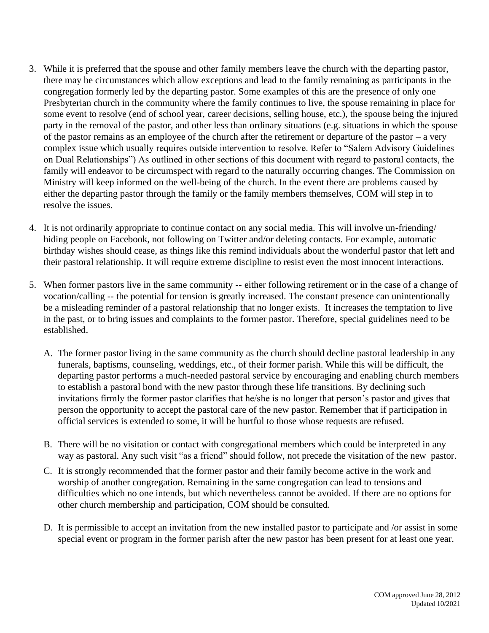- 3. While it is preferred that the spouse and other family members leave the church with the departing pastor, there may be circumstances which allow exceptions and lead to the family remaining as participants in the congregation formerly led by the departing pastor. Some examples of this are the presence of only one Presbyterian church in the community where the family continues to live, the spouse remaining in place for some event to resolve (end of school year, career decisions, selling house, etc.), the spouse being the injured party in the removal of the pastor, and other less than ordinary situations (e.g. situations in which the spouse of the pastor remains as an employee of the church after the retirement or departure of the pastor – a very complex issue which usually requires outside intervention to resolve. Refer to "Salem Advisory Guidelines on Dual Relationships") As outlined in other sections of this document with regard to pastoral contacts, the family will endeavor to be circumspect with regard to the naturally occurring changes. The Commission on Ministry will keep informed on the well-being of the church. In the event there are problems caused by either the departing pastor through the family or the family members themselves, COM will step in to resolve the issues.
- 4. It is not ordinarily appropriate to continue contact on any social media. This will involve un-friending/ hiding people on Facebook, not following on Twitter and/or deleting contacts. For example, automatic birthday wishes should cease, as things like this remind individuals about the wonderful pastor that left and their pastoral relationship. It will require extreme discipline to resist even the most innocent interactions.
- 5. When former pastors live in the same community -- either following retirement or in the case of a change of vocation/calling -- the potential for tension is greatly increased. The constant presence can unintentionally be a misleading reminder of a pastoral relationship that no longer exists. It increases the temptation to live in the past, or to bring issues and complaints to the former pastor. Therefore, special guidelines need to be established.
	- A. The former pastor living in the same community as the church should decline pastoral leadership in any funerals, baptisms, counseling, weddings, etc., of their former parish. While this will be difficult, the departing pastor performs a much-needed pastoral service by encouraging and enabling church members to establish a pastoral bond with the new pastor through these life transitions. By declining such invitations firmly the former pastor clarifies that he/she is no longer that person's pastor and gives that person the opportunity to accept the pastoral care of the new pastor. Remember that if participation in official services is extended to some, it will be hurtful to those whose requests are refused.
	- B. There will be no visitation or contact with congregational members which could be interpreted in any way as pastoral. Any such visit "as a friend" should follow, not precede the visitation of the new pastor.
	- C. It is strongly recommended that the former pastor and their family become active in the work and worship of another congregation. Remaining in the same congregation can lead to tensions and difficulties which no one intends, but which nevertheless cannot be avoided. If there are no options for other church membership and participation, COM should be consulted.
	- D. It is permissible to accept an invitation from the new installed pastor to participate and /or assist in some special event or program in the former parish after the new pastor has been present for at least one year.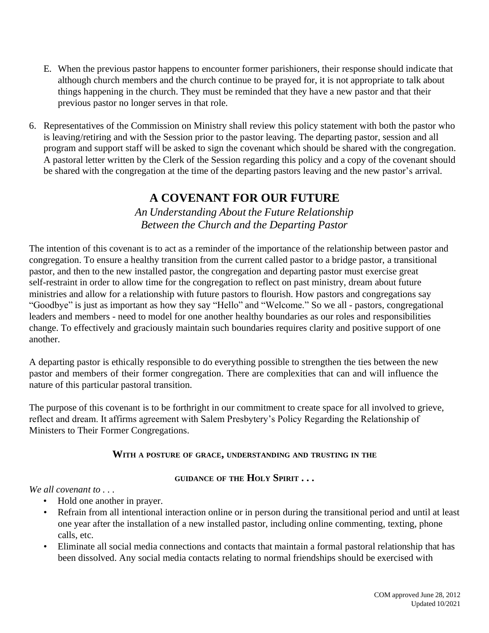- E. When the previous pastor happens to encounter former parishioners, their response should indicate that although church members and the church continue to be prayed for, it is not appropriate to talk about things happening in the church. They must be reminded that they have a new pastor and that their previous pastor no longer serves in that role.
- 6. Representatives of the Commission on Ministry shall review this policy statement with both the pastor who is leaving/retiring and with the Session prior to the pastor leaving. The departing pastor, session and all program and support staff will be asked to sign the covenant which should be shared with the congregation. A pastoral letter written by the Clerk of the Session regarding this policy and a copy of the covenant should be shared with the congregation at the time of the departing pastors leaving and the new pastor's arrival.

# **A COVENANT FOR OUR FUTURE**

*An Understanding About the Future Relationship Between the Church and the Departing Pastor*

The intention of this covenant is to act as a reminder of the importance of the relationship between pastor and congregation. To ensure a healthy transition from the current called pastor to a bridge pastor, a transitional pastor, and then to the new installed pastor, the congregation and departing pastor must exercise great self-restraint in order to allow time for the congregation to reflect on past ministry, dream about future ministries and allow for a relationship with future pastors to flourish. How pastors and congregations say "Goodbye" is just as important as how they say "Hello" and "Welcome." So we all - pastors, congregational leaders and members - need to model for one another healthy boundaries as our roles and responsibilities change. To effectively and graciously maintain such boundaries requires clarity and positive support of one another.

A departing pastor is ethically responsible to do everything possible to strengthen the ties between the new pastor and members of their former congregation. There are complexities that can and will influence the nature of this particular pastoral transition.

The purpose of this covenant is to be forthright in our commitment to create space for all involved to grieve, reflect and dream. It affirms agreement with Salem Presbytery's Policy Regarding the Relationship of Ministers to Their Former Congregations.

### **WITH <sup>A</sup> POSTURE OF GRACE, UNDERSTANDING AND TRUSTING IN THE**

### **GUIDANCE OF THE HOLY SPIRIT . . .**

*We all covenant to . . .*

- Hold one another in prayer.
- Refrain from all intentional interaction online or in person during the transitional period and until at least one year after the installation of a new installed pastor, including online commenting, texting, phone calls, etc.
- Eliminate all social media connections and contacts that maintain a formal pastoral relationship that has been dissolved. Any social media contacts relating to normal friendships should be exercised with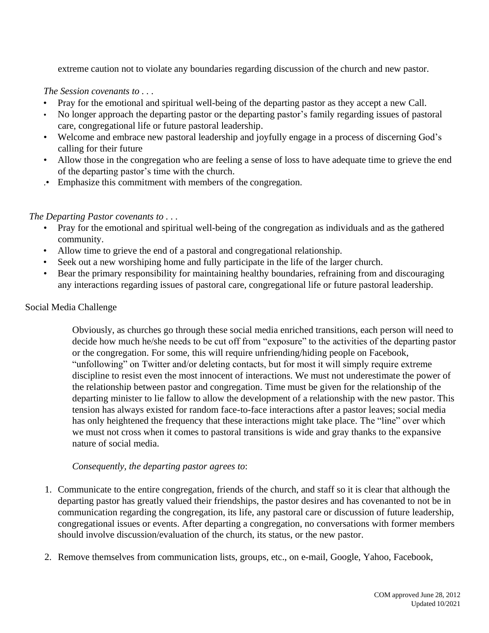extreme caution not to violate any boundaries regarding discussion of the church and new pastor.

*The Session covenants to . . .*

- Pray for the emotional and spiritual well-being of the departing pastor as they accept a new Call.
- No longer approach the departing pastor or the departing pastor's family regarding issues of pastoral care, congregational life or future pastoral leadership.
- Welcome and embrace new pastoral leadership and joyfully engage in a process of discerning God's calling for their future
- Allow those in the congregation who are feeling a sense of loss to have adequate time to grieve the end of the departing pastor's time with the church.
- .• Emphasize this commitment with members of the congregation.

*The Departing Pastor covenants to . . .*

- Pray for the emotional and spiritual well-being of the congregation as individuals and as the gathered community.
- Allow time to grieve the end of a pastoral and congregational relationship.
- Seek out a new worshiping home and fully participate in the life of the larger church.
- Bear the primary responsibility for maintaining healthy boundaries, refraining from and discouraging any interactions regarding issues of pastoral care, congregational life or future pastoral leadership.

### Social Media Challenge

Obviously, as churches go through these social media enriched transitions, each person will need to decide how much he/she needs to be cut off from "exposure" to the activities of the departing pastor or the congregation. For some, this will require unfriending/hiding people on Facebook, "unfollowing" on Twitter and/or deleting contacts, but for most it will simply require extreme discipline to resist even the most innocent of interactions. We must not underestimate the power of the relationship between pastor and congregation. Time must be given for the relationship of the departing minister to lie fallow to allow the development of a relationship with the new pastor. This tension has always existed for random face-to-face interactions after a pastor leaves; social media has only heightened the frequency that these interactions might take place. The "line" over which we must not cross when it comes to pastoral transitions is wide and gray thanks to the expansive nature of social media.

*Consequently, the departing pastor agrees to*:

- 1. Communicate to the entire congregation, friends of the church, and staff so it is clear that although the departing pastor has greatly valued their friendships, the pastor desires and has covenanted to not be in communication regarding the congregation, its life, any pastoral care or discussion of future leadership, congregational issues or events. After departing a congregation, no conversations with former members should involve discussion/evaluation of the church, its status, or the new pastor.
- 2. Remove themselves from communication lists, groups, etc., on e-mail, Google, Yahoo, Facebook,